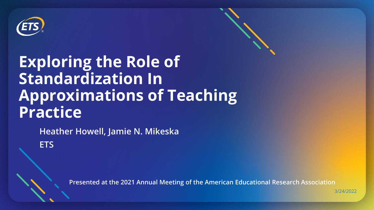

# **Exploring the Role of Standardization In Approximations of Teaching Practice**

**Heather Howell, Jamie N. Mikeska ETS**

**Presented at the 2021 Annual Meeting of the American Educational Research Association**

3/24/2022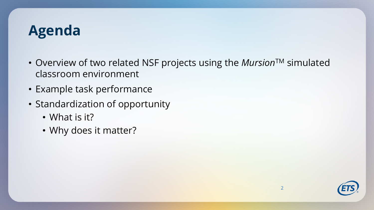## **Agenda**

- Overview of two related NSF projects using the *Mursion*<sup>TM</sup> simulated classroom environment
- Example task performance
- Standardization of opportunity
	- What is it?
	- Why does it matter?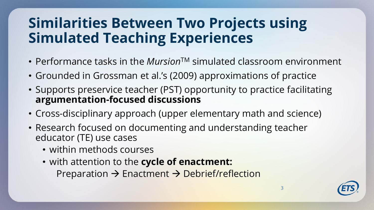## **Similarities Between Two Projects using Simulated Teaching Experiences**

- Performance tasks in the *Mursion*<sup>TM</sup> simulated classroom environment
- Grounded in Grossman et al.'s (2009) approximations of practice
- Supports preservice teacher (PST) opportunity to practice facilitating **argumentation-focused discussions**
- Cross-disciplinary approach (upper elementary math and science)
- Research focused on documenting and understanding teacher educator (TE) use cases
	- within methods courses
	- with attention to the **cycle of enactment:**

Preparation  $\rightarrow$  Enactment  $\rightarrow$  Debrief/reflection

3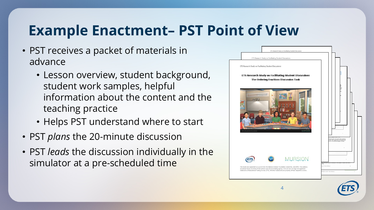## **Example Enactment– PST Point of View**

- PST receives a packet of materials in advance
	- Lesson overview, student background, student work samples, helpful information about the content and the teaching practice
	- Helps PST understand where to start
- PST *plans* the 20-minute discussion
- PST *leads* the discussion individually in the simulator at a pre-scheduled time



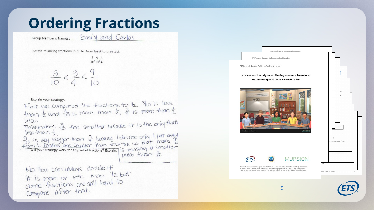## **Ordering Fractions**

Group Member's Names: EMILY and Carlos

Put the following fractions in order from least to greatest.

 $\frac{3}{10}, \frac{9}{10}, \frac{3}{4}$  $\frac{3}{10} < \frac{3}{4} < \frac{9}{10}$ 

Explain your strategy.

First we compared the fractions to  $1/2$ ,  $3/10$  is less than  $\frac{1}{2}$  and  $\frac{1}{10}$  is more than  $\frac{1}{2}$ ,  $\frac{3}{4}$  is more than  $\frac{1}{2}$ also. This makes  $\frac{3}{10}$  the smallest because it is the only fractive<br>lengthon to less than t To is van bigger than  $\frac{3}{4}$  because both are only I part avay<br>from 1. Teathos are smaller than four-ths so that means to<br>will your strategy work for any set of fractions? Explain. IS missing a smaller piece than 3. No. You can always decide if it is more or less than "12 but some fractions are still hard to Compare after that.

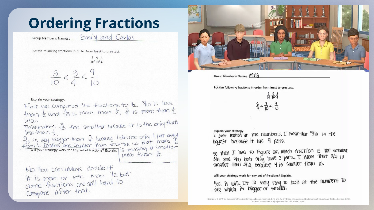## **Ordering Fractions**

Group Member's Names: **EMIN** and Carlos

Put the following fractions in order from least to greatest.

 $\frac{3}{10}, \frac{9}{10}, \frac{3}{4}$  $\frac{3}{10} < \frac{3}{4} < \frac{9}{10}$ 

Explain your strategy. First we compared the fractions to  $1/2$ ,  $3/10$  is less than  $\frac{1}{2}$  and  $\frac{1}{10}$  is more than  $\frac{1}{2}$ ,  $\frac{3}{4}$  is more than  $\frac{1}{2}$  $a$  so. This makes  $\frac{3}{10}$  the smallest because it is the only fractive<br>length not the smallest because it is the only fractive less than t To is van bigger than  $\frac{3}{4}$  because both are only I part avay<br>from 1. Teathos are smaller than four-ths so that means to<br>will your strategy work for any set of fractions? Explain. IS missing a smaller piece than 3. No. You can always decide if it is more or less than "12 but some fractions are still hard to Compare after that.



Group Member's Names: MINA

Put the following fractions in order from least to greatest.

|                | $\overline{10}$ ' $\overline{10}$ ' $\overline{4}$ |  |
|----------------|----------------------------------------------------|--|
| $\overline{0}$ |                                                    |  |

Explain your strategy. Explain your strategy.<br>  $T$  just 100ked at the numbers, I know that  $9/10$  19 The biggest because it has 9 parts.

So then I had to figure out which fraction is the smallest<br> $3\mu$  and  $3\mu$  both only have 3 parts. I Know that  $3\mu$  is<br>smaller than  $3\mu$  because 4 is smaller than 10.

Will your strategy work for any set of fractions? Explain.

Its, it will. It is very easy to look at the numbers to<br>see which is bigger or smaller.

Copyright @ 2019 by Educational Testing Service. All rights reserved. ETS and the ETS logo are registered trademarks of Educational Testing Service (ETS). All other trademarks are property of their respective owners.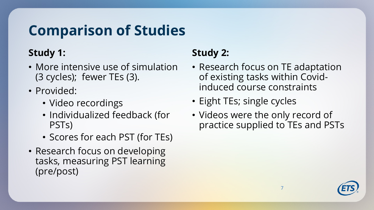## **Comparison of Studies**

#### **Study 1:**

- More intensive use of simulation (3 cycles); fewer TEs (3).
- Provided:
	- Video recordings
	- Individualized feedback (for PSTs)
	- Scores for each PST (for TEs)
- Research focus on developing tasks, measuring PST learning (pre/post)

#### **Study 2:**

- Research focus on TE adaptation of existing tasks within Covidinduced course constraints
- Eight TEs; single cycles
- Videos were the only record of practice supplied to TEs and PSTs

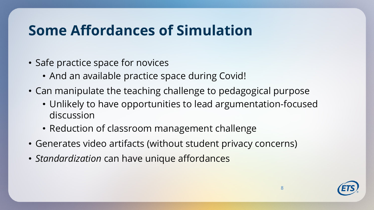## **Some Affordances of Simulation**

- Safe practice space for novices
	- And an available practice space during Covid!
- Can manipulate the teaching challenge to pedagogical purpose
	- Unlikely to have opportunities to lead argumentation-focused discussion
	- Reduction of classroom management challenge
- Generates video artifacts (without student privacy concerns)
- *Standardization* can have unique affordances

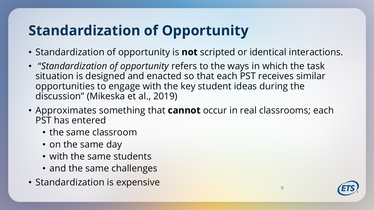# **Standardization of Opportunity**

- Standardization of opportunity is **not** scripted or identical interactions.
- "*Standardization of opportunity* refers to the ways in which the task situation is designed and enacted so that each PST receives similar opportunities to engage with the key student ideas during the discussion" (Mikeska et al., 2019)
- Approximates something that **cannot** occur in real classrooms; each PST has entered
	- the same classroom
	- on the same day
	- with the same students
	- and the same challenges
- Standardization is expensive  $\overline{\phantom{a}}$

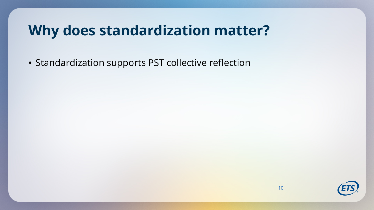• Standardization supports PST collective reflection

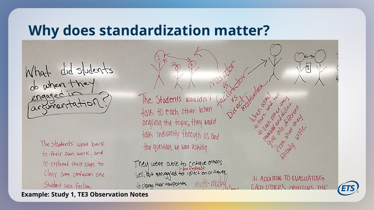What did students<br>do when they engaged

> The Students went back to their own work, and re-explained their steps to Clear some confusion one Student was Feeling.

The Students wouldn't talk to each other. When arguing the topic, they would talk indirectly through us and the questions we were asking.

They were able to critique others<br>Well, but struggled to relate to critiques<br>to change their viewpoints. Multi-Model

IN ADDITION TO EVALUATING EACH OTHER'S COMINUES THE



**Example: Study 1, TE3 Observation Notes**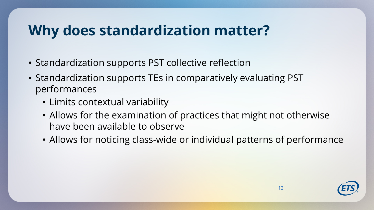- Standardization supports PST collective reflection
- Standardization supports TEs in comparatively evaluating PST performances
	- Limits contextual variability
	- Allows for the examination of practices that might not otherwise have been available to observe
	- Allows for noticing class-wide or individual patterns of performance

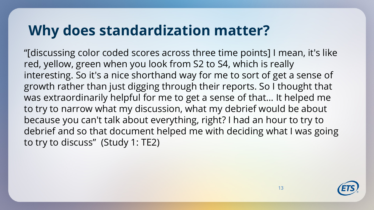"[discussing color coded scores across three time points] I mean, it's like red, yellow, green when you look from S2 to S4, which is really interesting. So it's a nice shorthand way for me to sort of get a sense of growth rather than just digging through their reports. So I thought that was extraordinarily helpful for me to get a sense of that… It helped me to try to narrow what my discussion, what my debrief would be about because you can't talk about everything, right? I had an hour to try to debrief and so that document helped me with deciding what I was going to try to discuss" (Study 1: TE2)

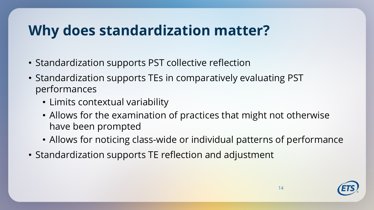- Standardization supports PST collective reflection
- Standardization supports TEs in comparatively evaluating PST performances
	- Limits contextual variability
	- Allows for the examination of practices that might not otherwise have been prompted
	- Allows for noticing class-wide or individual patterns of performance
- Standardization supports TE reflection and adjustment

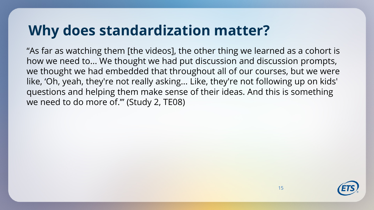"As far as watching them [the videos], the other thing we learned as a cohort is how we need to... We thought we had put discussion and discussion prompts, we thought we had embedded that throughout all of our courses, but we were like, 'Oh, yeah, they're not really asking... Like, they're not following up on kids' questions and helping them make sense of their ideas. And this is something we need to do more of.'" (Study 2, TE08)

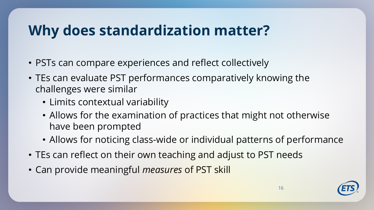- PSTs can compare experiences and reflect collectively
- TEs can evaluate PST performances comparatively knowing the challenges were similar
	- Limits contextual variability
	- Allows for the examination of practices that might not otherwise have been prompted
	- Allows for noticing class-wide or individual patterns of performance
- TEs can reflect on their own teaching and adjust to PST needs
- Can provide meaningful *measures* of PST skill